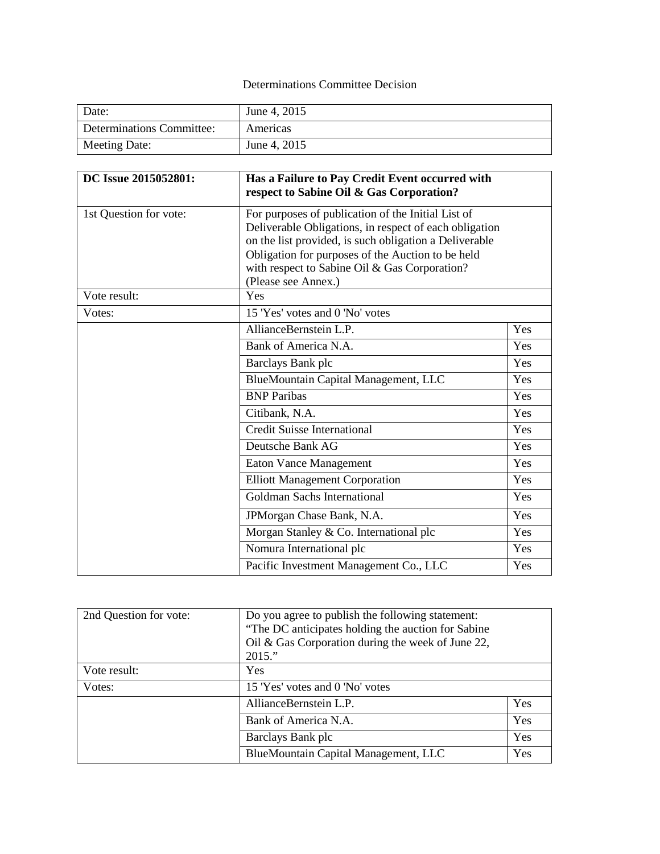## Determinations Committee Decision

| Date:                     | June 4, 2015 |
|---------------------------|--------------|
| Determinations Committee: | Americas     |
| Meeting Date:             | June 4, 2015 |

| DC Issue 2015052801:   | Has a Failure to Pay Credit Event occurred with<br>respect to Sabine Oil & Gas Corporation?                                                                                                                                                                                                         |     |
|------------------------|-----------------------------------------------------------------------------------------------------------------------------------------------------------------------------------------------------------------------------------------------------------------------------------------------------|-----|
| 1st Question for vote: | For purposes of publication of the Initial List of<br>Deliverable Obligations, in respect of each obligation<br>on the list provided, is such obligation a Deliverable<br>Obligation for purposes of the Auction to be held<br>with respect to Sabine Oil & Gas Corporation?<br>(Please see Annex.) |     |
| Vote result:           | Yes                                                                                                                                                                                                                                                                                                 |     |
| Votes:                 | 15 'Yes' votes and 0 'No' votes                                                                                                                                                                                                                                                                     |     |
|                        | AllianceBernstein L.P.                                                                                                                                                                                                                                                                              | Yes |
|                        | Bank of America N.A.                                                                                                                                                                                                                                                                                | Yes |
|                        | Barclays Bank plc                                                                                                                                                                                                                                                                                   | Yes |
|                        | BlueMountain Capital Management, LLC                                                                                                                                                                                                                                                                | Yes |
|                        | <b>BNP</b> Paribas                                                                                                                                                                                                                                                                                  | Yes |
|                        | Citibank, N.A.                                                                                                                                                                                                                                                                                      | Yes |
|                        | <b>Credit Suisse International</b>                                                                                                                                                                                                                                                                  | Yes |
|                        | Deutsche Bank AG                                                                                                                                                                                                                                                                                    | Yes |
|                        | <b>Eaton Vance Management</b>                                                                                                                                                                                                                                                                       | Yes |
|                        | <b>Elliott Management Corporation</b>                                                                                                                                                                                                                                                               | Yes |
|                        | Goldman Sachs International                                                                                                                                                                                                                                                                         | Yes |
|                        | JPMorgan Chase Bank, N.A.                                                                                                                                                                                                                                                                           | Yes |
|                        | Morgan Stanley & Co. International plc                                                                                                                                                                                                                                                              | Yes |
|                        | Nomura International plc                                                                                                                                                                                                                                                                            | Yes |
|                        | Pacific Investment Management Co., LLC                                                                                                                                                                                                                                                              | Yes |

| 2nd Question for vote: | Do you agree to publish the following statement:<br>"The DC anticipates holding the auction for Sabine"<br>Oil & Gas Corporation during the week of June 22,<br>2015." |     |
|------------------------|------------------------------------------------------------------------------------------------------------------------------------------------------------------------|-----|
| Vote result:           | Yes                                                                                                                                                                    |     |
| Votes:                 | 15 'Yes' votes and 0 'No' votes                                                                                                                                        |     |
|                        | AllianceBernstein L.P.                                                                                                                                                 | Yes |
|                        | Bank of America N.A.                                                                                                                                                   | Yes |
|                        | Barclays Bank plc                                                                                                                                                      | Yes |
|                        | BlueMountain Capital Management, LLC                                                                                                                                   | Yes |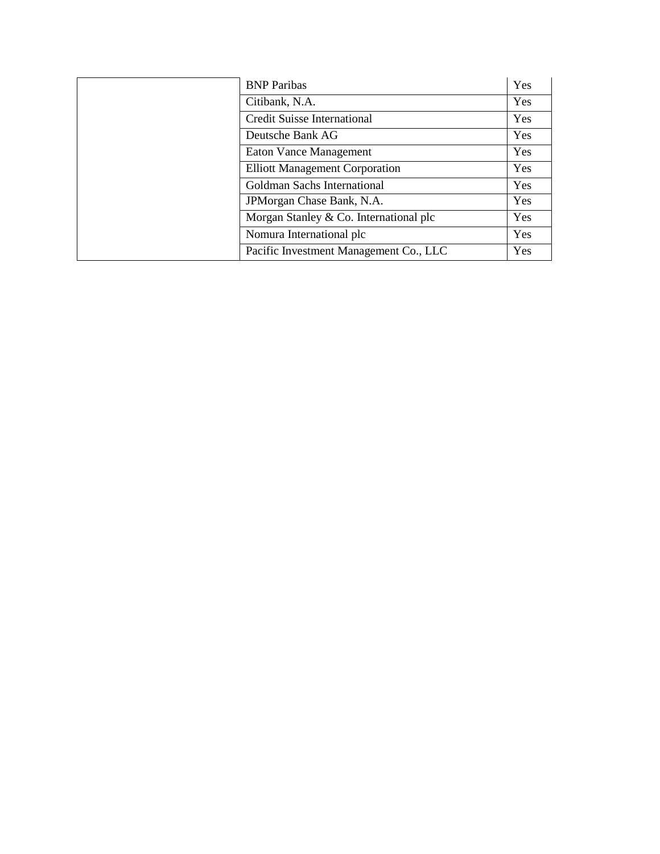| <b>BNP</b> Paribas                     | Yes |
|----------------------------------------|-----|
| Citibank, N.A.                         | Yes |
| <b>Credit Suisse International</b>     | Yes |
| Deutsche Bank AG                       | Yes |
| <b>Eaton Vance Management</b>          | Yes |
| <b>Elliott Management Corporation</b>  | Yes |
| Goldman Sachs International            | Yes |
| JPM organ Chase Bank, N.A.             | Yes |
| Morgan Stanley & Co. International plc | Yes |
| Nomura International plc               | Yes |
| Pacific Investment Management Co., LLC | Yes |